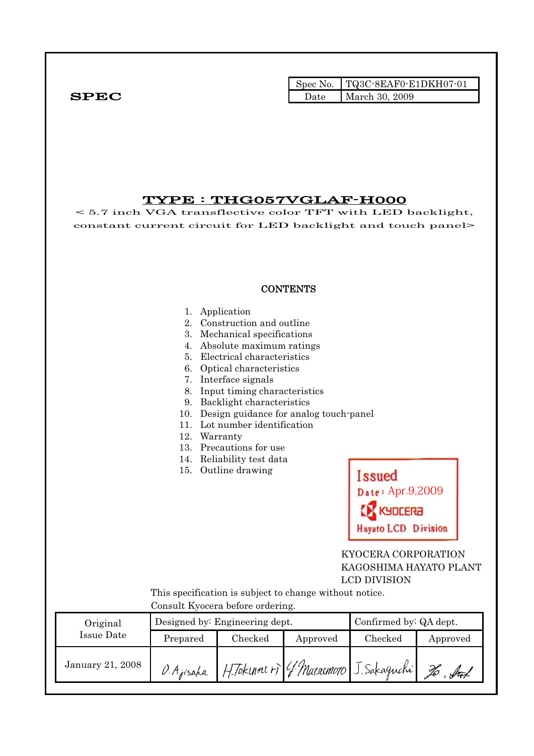Spec No. TQ3C-8EAF0-E1DKH07-01 SPEC Date March 30, 2009

## TYPE : THG057VGLAF-H000

< 5.7 inch VGA transflective color TFT with LED backlight, constant current circuit for LED backlight and touch panel>

## **CONTENTS**

- 1. Application
- 2. Construction and outline
- 3. Mechanical specifications
- 4. Absolute maximum ratings
- 5. Electrical characteristics
- 6. Optical characteristics
- 7. Interface signals
- 8. Input timing characteristics
- 9. Backlight characteristics
- 10. Design guidance for analog touch-panel
- 11. Lot number identification
- 12. Warranty
- 13. Precautions for use
- 14. Reliability test data
- 15. Outline drawing



## KYOCERA CORPORATION KAGOSHIMA HAYATO PLANT LCD DIVISION

 This specification is subject to change without notice. Consult Kyocera before ordering.

| Consult IV occla scrole of acting. |           |                                |          |                                        |            |  |
|------------------------------------|-----------|--------------------------------|----------|----------------------------------------|------------|--|
| Original                           |           | Designed by: Engineering dept. |          | Confirmed by: QA dept.                 |            |  |
| Issue Date                         | Prepared  | Checked                        | Approved | Checked                                | Approved   |  |
| January 21, 2008                   | O Ajisaka |                                |          | H. Tokunners G. Matrimoto J. Sakaguchi | $\sqrt{4}$ |  |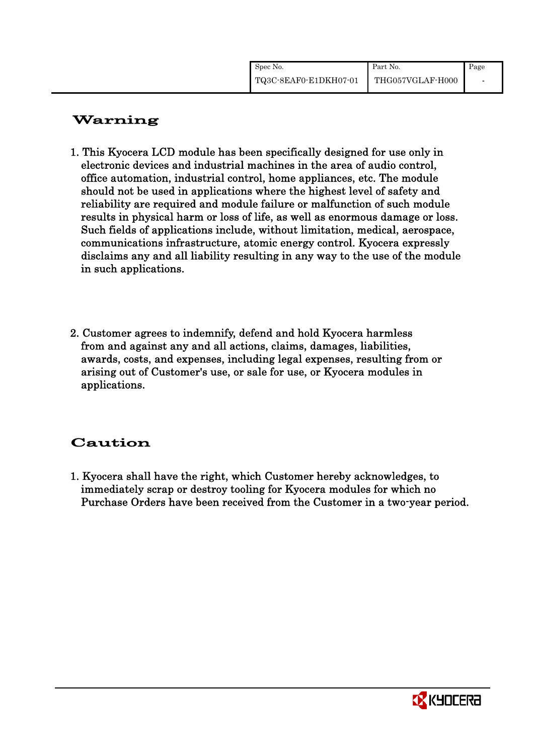| Spec No.              | Part No.         | Page |
|-----------------------|------------------|------|
| TQ3C-8EAF0-E1DKH07-01 | THG057VGLAF-H000 |      |

# Warning

- 1. This Kyocera LCD module has been specifically designed for use only in electronic devices and industrial machines in the area of audio control, office automation, industrial control, home appliances, etc. The module should not be used in applications where the highest level of safety and reliability are required and module failure or malfunction of such module results in physical harm or loss of life, as well as enormous damage or loss. Such fields of applications include, without limitation, medical, aerospace, communications infrastructure, atomic energy control. Kyocera expressly disclaims any and all liability resulting in any way to the use of the module in such applications.
- 2. Customer agrees to indemnify, defend and hold Kyocera harmless from and against any and all actions, claims, damages, liabilities, awards, costs, and expenses, including legal expenses, resulting from or arising out of Customer's use, or sale for use, or Kyocera modules in applications.

# Caution

1. Kyocera shall have the right, which Customer hereby acknowledges, to immediately scrap or destroy tooling for Kyocera modules for which no Purchase Orders have been received from the Customer in a two-year period.

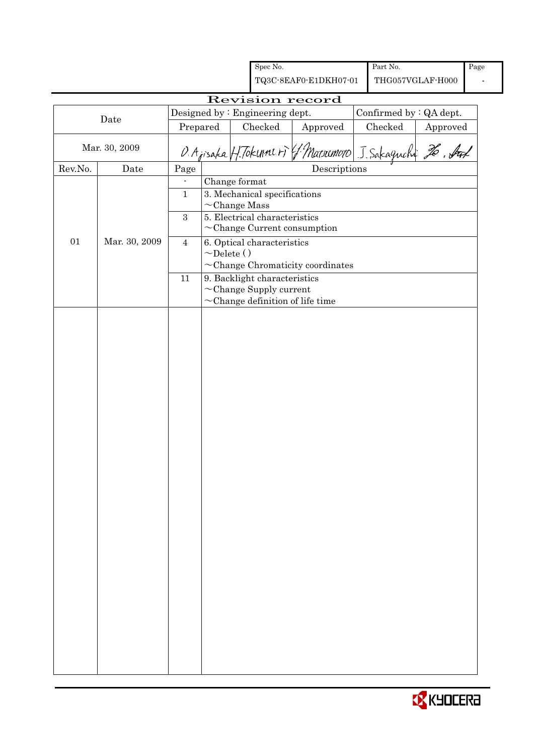|                 |               |                                          |                    |  | Spec No.                       |                                                          | Part No.                |          | Page |
|-----------------|---------------|------------------------------------------|--------------------|--|--------------------------------|----------------------------------------------------------|-------------------------|----------|------|
|                 |               |                                          |                    |  |                                | TQ3C-8EAF0-E1DKH07-01                                    | THG057VGLAF-H000        |          |      |
| Revision record |               |                                          |                    |  |                                |                                                          |                         |          |      |
|                 | Date          |                                          |                    |  | Designed by: Engineering dept. |                                                          | Confirmed by : QA dept. |          |      |
|                 |               | Prepared                                 |                    |  | Checked                        | Approved                                                 | Checked                 | Approved |      |
|                 | Mar. 30, 2009 |                                          |                    |  |                                | O. Ajisaka H. Tokune + J. Macoumoto J. Sakagnchi 26. Auf |                         |          |      |
| Rev.No.         | Date          | Page                                     |                    |  |                                | Descriptions                                             |                         |          |      |
|                 |               | $\overline{\phantom{a}}$<br>$\mathbf{1}$ | Change format      |  | 3. Mechanical specifications   |                                                          |                         |          |      |
|                 |               |                                          | $\sim$ Change Mass |  |                                |                                                          |                         |          |      |
|                 |               | $\boldsymbol{3}$                         |                    |  | 5. Electrical characteristics  | $\sim$ Change Current consumption                        |                         |          |      |
| 01              | Mar. 30, 2009 | $\overline{4}$                           |                    |  | 6. Optical characteristics     |                                                          |                         |          |      |
|                 |               |                                          | $\sim$ Delete ()   |  |                                | $\sim$ Change Chromaticity coordinates                   |                         |          |      |
|                 |               | $11\,$                                   |                    |  | 9. Backlight characteristics   |                                                          |                         |          |      |
|                 |               |                                          |                    |  | $\sim$ Change Supply current   | $\sim$ Change definition of life time                    |                         |          |      |
|                 |               |                                          |                    |  |                                |                                                          |                         |          |      |
|                 |               |                                          |                    |  |                                |                                                          |                         |          |      |

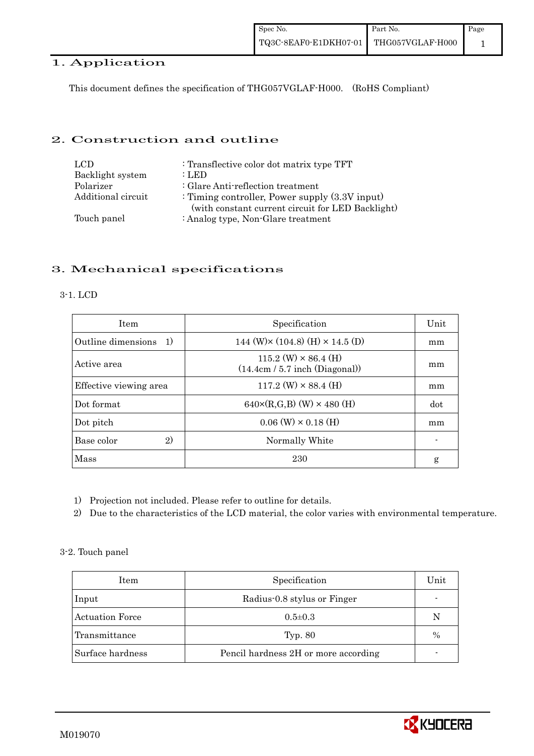## 1. Application

This document defines the specification of THG057VGLAF-H000. (RoHS Compliant)

## 2. Construction and outline

| LCD.               | : Transflective color dot matrix type TFT                                                              |
|--------------------|--------------------------------------------------------------------------------------------------------|
| Backlight system   | $:$ LED                                                                                                |
| Polarizer          | : Glare Anti-reflection treatment                                                                      |
| Additional circuit | : Timing controller, Power supply $(3.3V)$ input)<br>(with constant current circuit for LED Backlight) |
| Touch panel        | : Analog type, Non-Glare treatment                                                                     |

## 3. Mechanical specifications

#### 3-1. LCD

| <b>Item</b>            | Specification                                                   | Unit |
|------------------------|-----------------------------------------------------------------|------|
| Outline dimensions 1)  | 144 (W) $\times$ (104.8) (H) $\times$ 14.5 (D)                  | mm   |
| Active area            | $115.2$ (W) $\times$ 86.4 (H)<br>(14.4cm / 5.7 inch (Diagonal)) | mm   |
| Effective viewing area | $117.2$ (W) $\times$ 88.4 (H)                                   | mm   |
| Dot format             | $640 \times (R,G,B)$ (W) $\times 480$ (H)                       | dot  |
| Dot pitch              | $0.06$ (W) $\times$ 0.18 (H)                                    | mm   |
| 2)<br>Base color       | Normally White                                                  |      |
| Mass                   | 230                                                             | g    |

- 1) Projection not included. Please refer to outline for details.
- 2) Due to the characteristics of the LCD material, the color varies with environmental temperature.

#### 3-2. Touch panel

| Item             | Specification                        | Unit          |
|------------------|--------------------------------------|---------------|
| Input            | Radius-0.8 stylus or Finger          |               |
| Actuation Force  | $0.5 \pm 0.3$                        | N             |
| Transmittance    | Typ. 80                              | $\frac{0}{0}$ |
| Surface hardness | Pencil hardness 2H or more according |               |

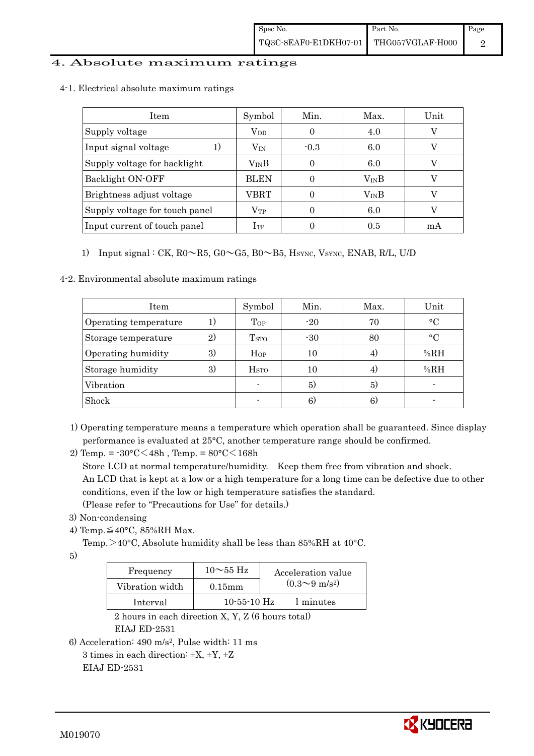## 4. Absolute maximum ratings

| 4-1. Electrical absolute maximum ratings |  |
|------------------------------------------|--|
|                                          |  |

| Item                           | Symbol           | Min.   | Max.             | Unit |
|--------------------------------|------------------|--------|------------------|------|
| Supply voltage                 | $\rm V_{DD}$     |        | 4.0              |      |
| Input signal voltage<br>1.     | $\rm V_{\rm IN}$ | $-0.3$ | 6.0              |      |
| Supply voltage for backlight   | $\rm V_{IN}B$    |        | 6.0              |      |
| Backlight ON-OFF               | <b>BLEN</b>      |        | $V_{\text{IN}}B$ |      |
| Brightness adjust voltage      | VBRT             |        | $V_{IN}B$        |      |
| Supply voltage for touch panel | $\rm V_{TP}$     |        | 6.0              |      |
| Input current of touch panel   | $_{\rm ITP}$     |        | 0.5              | m A  |

## 1) Input signal : CK,  $R0 \sim R5$ ,  $G0 \sim G5$ ,  $B0 \sim B5$ ,  $H_{\text{SYNC}}$ ,  $V_{\text{SYNC}}$ ,  $ENAB$ ,  $R/L$ ,  $U/D$

4-2. Environmental absolute maximum ratings

| Item                                  | Symbol                  | Min.  | Max. | Unit         |
|---------------------------------------|-------------------------|-------|------|--------------|
| Operating temperature                 | Top                     | $-20$ | 70   | $\circ$ C    |
| $\overline{2}$<br>Storage temperature | <b>T</b> <sub>STO</sub> | $-30$ | 80   | $^{\circ}$ C |
| Operating humidity<br>3)              | Hop                     | 10    |      | %RH          |
| Storage humidity<br>3)                | <b>H</b> <sub>sto</sub> | 10    | 4)   | %RH          |
| Vibration                             | $\blacksquare$          | 5)    | 5)   |              |
| Shock                                 |                         | 6)    | 6)   |              |

- 1) Operating temperature means a temperature which operation shall be guaranteed. Since display performance is evaluated at 25°C, another temperature range should be confirmed.
- 2) Temp. =  $-30^{\circ}$ C $<$ 48h, Temp. =  $80^{\circ}$ C $<$ 168h Store LCD at normal temperature/humidity. Keep them free from vibration and shock. An LCD that is kept at a low or a high temperature for a long time can be defective due to other conditions, even if the low or high temperature satisfies the standard. (Please refer to "Precautions for Use" for details.)
- 3) Non-condensing
- 4) Temp. $\leq 40^{\circ}$ C, 85%RH Max.

Temp. >40°C, Absolute humidity shall be less than 85%RH at 40°C.

5)

| Frequency       | $10\sim$ 55 Hz | Acceleration value         |
|-----------------|----------------|----------------------------|
| Vibration width | $0.15$ mm      | $(0.3{\sim}9~{\rm m/s^2})$ |
| Interval        | $10-55-10$ Hz  | 1 minutes                  |

 2 hours in each direction X, Y, Z (6 hours total) EIAJ ED-2531

```
6) Acceleration: 490 m/s2, Pulse width: 11 ms
```

```
3 times in each direction: \pm X, \pm Y, \pm Z
```
EIAJ ED-2531

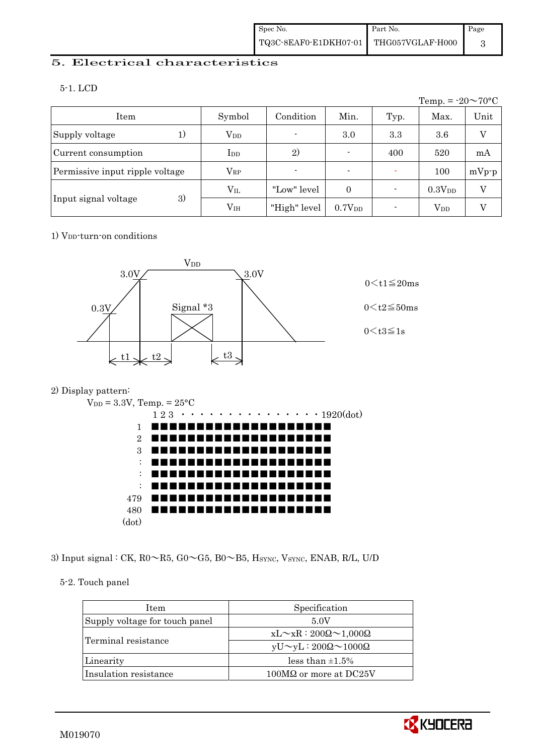## 5. Electrical characteristics

5-1. LCD

|                                 |                 |                          |                    |      | Temp. = $-20 \sim 70$ °C |         |
|---------------------------------|-----------------|--------------------------|--------------------|------|--------------------------|---------|
| Item                            | Symbol          | Condition                | Min.               | Typ. | Max.                     | Unit    |
| Supply voltage                  | $V_{DD}$        | $\overline{\phantom{0}}$ | 3.0                | 3.3  | 3.6                      | V       |
| Current consumption             | $_{\rm{LDD}}$   | 2)                       | $\blacksquare$     | 400  | 520                      | mA      |
| Permissive input ripple voltage | $\rm V_{RP}$    | $\blacksquare$           | $\blacksquare$     |      | 100                      | $mVp-p$ |
|                                 | $\rm V_{II}$    | "Low" level              | $\theta$           |      | 0.3V <sub>DD</sub>       | V       |
| 3)<br>Input signal voltage      | V <sub>IH</sub> | "High" level             | 0.7V <sub>DD</sub> |      | $V_{DD}$                 |         |

## 1) V<sub>DD</sub>-turn-on conditions



## 2) Display pattern:



3) Input signal : CK, R0~R5, G0~G5, B0~B5, HSYNC, VSYNC, ENAB, R/L, U/D

## 5-2. Touch panel

| <b>Item</b>                    | Specification                             |
|--------------------------------|-------------------------------------------|
| Supply voltage for touch panel | 5.0V                                      |
|                                | $xL \sim xR : 200\Omega \sim 1,000\Omega$ |
| Terminal resistance            | $yU \sim yL : 200\Omega \sim 1000\Omega$  |
| Linearity                      | less than $\pm 1.5\%$                     |
| Insulation resistance          | $100M\Omega$ or more at DC25V             |

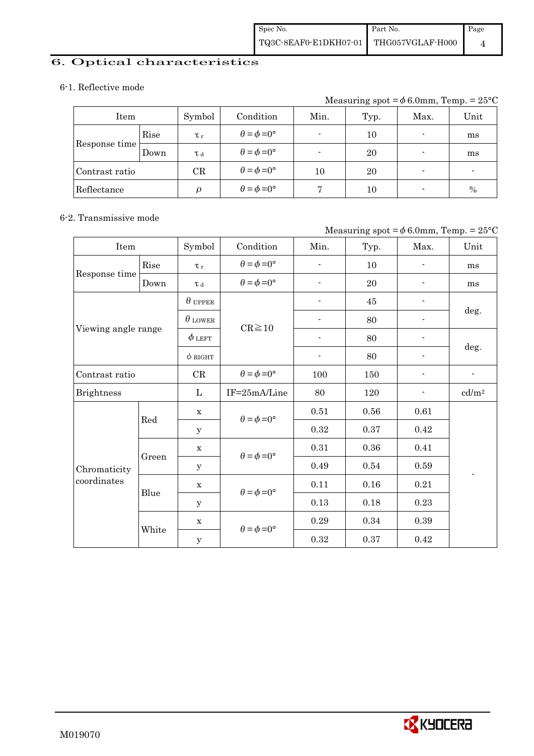# 6. Optical characteristics

#### 6-1. Reflective mode

Measuring spot =  $\phi$  6.0mm, Temp. = 25°C

| Item           |      | Symbol      | Condition                   | Min. | Typ. | Max.                     | Unit |
|----------------|------|-------------|-----------------------------|------|------|--------------------------|------|
|                | Rise | $\tau_r$    | $\theta = \phi = 0^{\circ}$ |      | 10   | $\blacksquare$           | ms   |
| Response time  | Down | T d         | $\theta = \phi = 0^{\circ}$ |      | 20   | $\overline{\phantom{a}}$ | ms   |
| Contrast ratio |      | $_{\rm CR}$ | $\theta = \phi = 0^{\circ}$ | 10   | 20   |                          |      |
| Reflectance    |      | $\varrho$   | $\theta = \phi = 0^{\circ}$ |      | 10   | $\overline{\phantom{0}}$ | $\%$ |

#### 6-2. Transmissive mode

#### Measuring spot =  $\phi$  6.0mm, Temp. = 25°C

| Item                |       | Symbol         | Condition                   | Min.                     | Typ.     | Max.                     | Unit                     |  |
|---------------------|-------|----------------|-----------------------------|--------------------------|----------|--------------------------|--------------------------|--|
|                     | Rise  | $\tau_r$       | $\theta = \phi = 0^{\circ}$ | $\overline{a}$           | 10       | $\overline{\phantom{0}}$ | ms                       |  |
| Response time       | Down  | $\tau$ d       | $\theta = \phi = 0^{\circ}$ | $\overline{\phantom{a}}$ | 20       |                          | ms                       |  |
|                     |       | $\theta$ upper |                             | $\overline{\phantom{a}}$ | $45\,$   | $\overline{\phantom{0}}$ |                          |  |
|                     |       | $\theta$ lower | $CR \ge 10$                 |                          | 80       |                          | deg.                     |  |
| Viewing angle range |       | $\phi$ left    |                             |                          | 80       |                          |                          |  |
|                     |       | $\phi$ RIGHT   |                             | $\overline{\phantom{a}}$ | 80       | $\overline{\phantom{a}}$ | deg.                     |  |
| Contrast ratio      |       | CR             | $\theta = \phi = 0^{\circ}$ | 100                      | 150      | $\overline{\phantom{0}}$ | $\overline{\phantom{a}}$ |  |
| <b>Brightness</b>   |       | L              | IF=25mA/Line                | 80                       | 120      |                          | cd/m <sup>2</sup>        |  |
|                     | Red   | $\mathbf X$    | $\theta = \phi = 0^{\circ}$ | 0.51                     | $0.56\,$ | 0.61                     |                          |  |
|                     |       | У              |                             | 0.32                     | 0.37     | 0.42                     |                          |  |
|                     | Green | $\mathbf X$    |                             | 0.31                     | 0.36     | 0.41                     |                          |  |
| Chromaticity        |       | У              | $\theta = \phi = 0^{\circ}$ | 0.49                     | 0.54     | 0.59                     |                          |  |
| coordinates         | Blue  | $\mathbf X$    | $\theta = \phi = 0^{\circ}$ | 0.11                     | 0.16     | 0.21                     |                          |  |
|                     |       | $\mathbf y$    |                             | 0.13                     | 0.18     | 0.23                     |                          |  |
|                     |       | $\mathbf X$    | $\theta = \phi = 0^{\circ}$ | 0.29                     | 0.34     | 0.39                     |                          |  |
|                     | White | $\mathbf y$    |                             | 0.32                     | 0.37     | 0.42                     |                          |  |

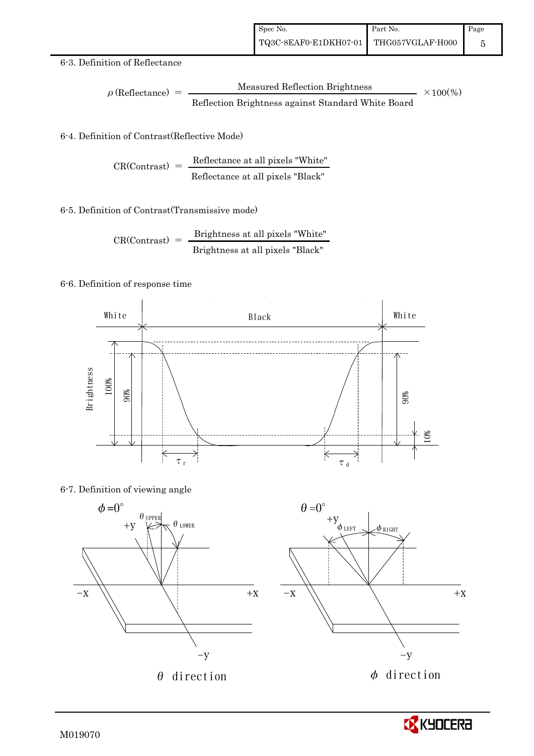#### 6-3. Definition of Reflectance

$$
\rho \text{ (Reflectance)} = \frac{\text{Measured Reflection Brightness}}{\text{Reflection Brightness against Standard White Board}}
$$
 × 100%

## 6-4. Definition of Contrast(Reflective Mode)

$$
CR(Contrast) = \frac{Reference at all pixels "White" } {Reference at all pixels "Black" }
$$

#### 6-5. Definition of Contrast(Transmissive mode)

$$
CR(Contrast) = \frac{Brightness \text{ at all pixels "White"}}{Brightness \text{ at all pixels "Black"}}
$$

#### 6-6. Definition of response time



#### 6-7. Definition of viewing angle



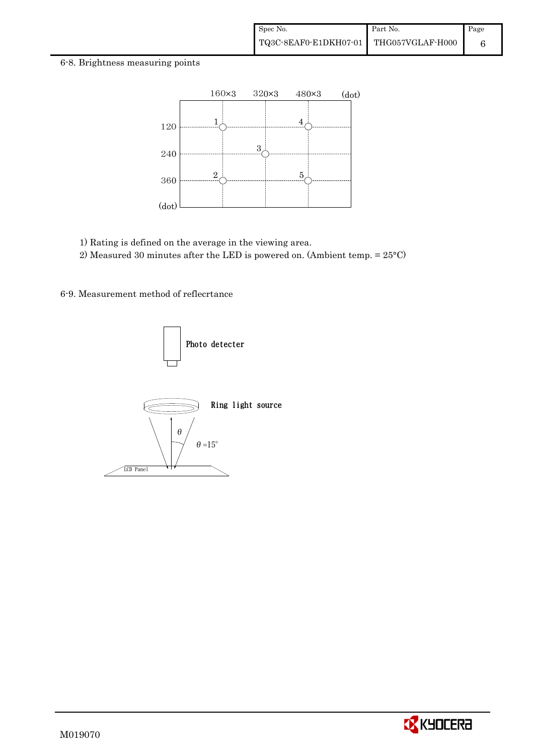#### 6-8. Brightness measuring points



1) Rating is defined on the average in the viewing area.

2) Measured 30 minutes after the LED is powered on. (Ambient temp. = 25°C)

6-9. Measurement method of reflecrtance



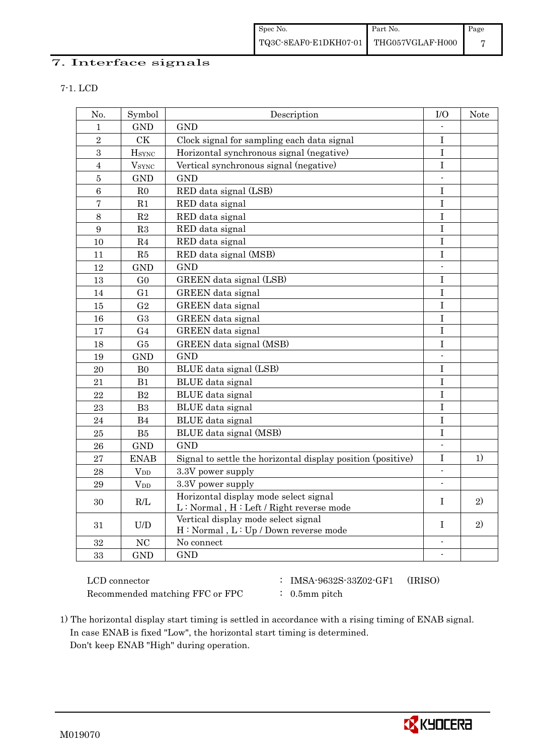## 7. Interface signals

|  | ٧ |
|--|---|

| No.            | Symbol               | Description                                                                      | $\rm I/O$                | <b>Note</b> |
|----------------|----------------------|----------------------------------------------------------------------------------|--------------------------|-------------|
| $\mathbf 1$    | <b>GND</b>           | <b>GND</b>                                                                       |                          |             |
| $\overline{2}$ | <b>CK</b>            | Clock signal for sampling each data signal                                       | $\mathbf I$              |             |
| 3              | <b>H</b> sync        | Horizontal synchronous signal (negative)                                         | $\rm I$                  |             |
| $\overline{4}$ | $\rm{V}_{\rm{SYNC}}$ | Vertical synchronous signal (negative)                                           | $\mathbf I$              |             |
| $\overline{5}$ | <b>GND</b>           | <b>GND</b>                                                                       | $\blacksquare$           |             |
| 6              | R <sub>0</sub>       | RED data signal (LSB)                                                            | $\mathbf I$              |             |
| $\overline{7}$ | R1                   | RED data signal                                                                  | $\mathbf I$              |             |
| 8              | $\mathbf{R}2$        | RED data signal                                                                  | $\mathbf I$              |             |
| 9              | R3                   | RED data signal                                                                  | $\bf I$                  |             |
| 10             | R <sub>4</sub>       | RED data signal                                                                  | I                        |             |
| 11             | ${\rm R5}$           | RED data signal (MSB)                                                            | $\mathbf I$              |             |
| 12             | <b>GND</b>           | <b>GND</b>                                                                       | $\blacksquare$           |             |
| 13             | G <sub>0</sub>       | GREEN data signal (LSB)                                                          | $\mathbf I$              |             |
| 14             | G1                   | GREEN data signal                                                                | $\mathbf I$              |             |
| 15             | G <sub>2</sub>       | GREEN data signal                                                                | I                        |             |
| 16             | G <sub>3</sub>       | GREEN data signal                                                                | $\bf I$                  |             |
| 17             | G <sub>4</sub>       | GREEN data signal                                                                | T                        |             |
| 18             | G5                   | GREEN data signal (MSB)                                                          | I                        |             |
| 19             | <b>GND</b>           | <b>GND</b>                                                                       |                          |             |
| 20             | B <sub>0</sub>       | BLUE data signal (LSB)                                                           | I                        |             |
| 21             | B1                   | BLUE data signal                                                                 | I                        |             |
| 22             | B <sub>2</sub>       | BLUE data signal                                                                 | I                        |             |
| 23             | B <sub>3</sub>       | BLUE data signal                                                                 | $\bf I$                  |             |
| 24             | B4                   | BLUE data signal                                                                 | I                        |             |
| 25             | B5                   | BLUE data signal (MSB)                                                           | $\rm I$                  |             |
| 26             | <b>GND</b>           | <b>GND</b>                                                                       | $\overline{\phantom{a}}$ |             |
| 27             | <b>ENAB</b>          | Signal to settle the horizontal display position (positive)                      | I                        | 1)          |
| 28             | $V_{DD}$             | 3.3V power supply                                                                | $\mathbf{r}$             |             |
| 29             | $\rm V_{DD}$         | 3.3V power supply                                                                |                          |             |
| 30             | R/L                  | Horizontal display mode select signal<br>L: Normal, H: Left / Right reverse mode | $\mathbf I$              | 2)          |
| 31             | U/D                  | Vertical display mode select signal<br>H: Normal, L: Up / Down reverse mode      | $\rm I$                  | 2)          |
| 32             | NC                   | No connect                                                                       | $\overline{\phantom{a}}$ |             |
| 33             | <b>GND</b>           | <b>GND</b>                                                                       | $\overline{\phantom{a}}$ |             |

Recommended matching FFC or FPC : 0.5mm pitch

- LCD connector : IMSA-9632S-33Z02-GF1 (IRISO)
	-

 1) The horizontal display start timing is settled in accordance with a rising timing of ENAB signal. In case ENAB is fixed "Low", the horizontal start timing is determined. Don't keep ENAB "High" during operation.

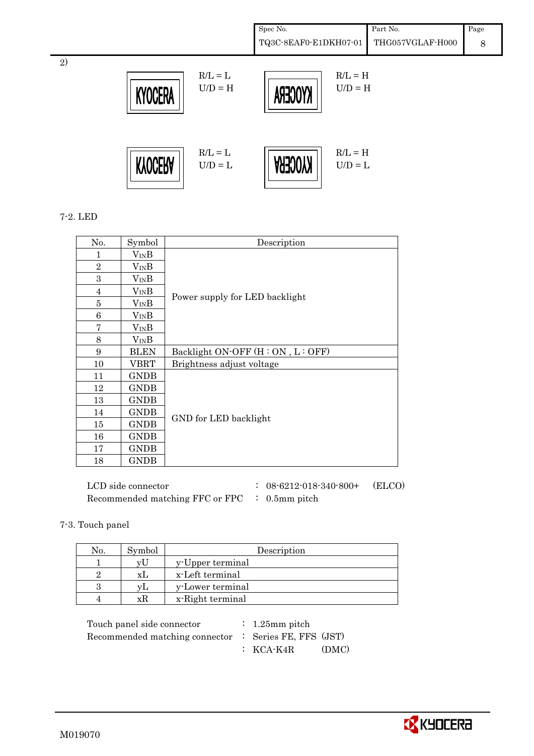Spec No. TQ3C-8EAF0-E1DKH07-01 Part No. THG057VGLAF-H000 Page 8



#### 7-2. LED

2)

| No.            | Symbol        | Description                      |
|----------------|---------------|----------------------------------|
| 1              | $V_{IN}B$     |                                  |
| $\overline{2}$ | $V_{IN}B$     |                                  |
| 3              | $\rm V_{IN}B$ |                                  |
| 4              | $V_{IN}B$     | Power supply for LED backlight   |
| 5              | $V_{IN}B$     |                                  |
| 6              | $V_{IN}B$     |                                  |
| 7              | $V_{IN}B$     |                                  |
| 8              | $V_{IN}B$     |                                  |
| 9              | <b>BLEN</b>   | Backlight ON-OFF (H: ON, L: OFF) |
| 10             | VBRT          | Brightness adjust voltage        |
| 11             | <b>GNDB</b>   |                                  |
| 12             | <b>GNDB</b>   |                                  |
| 13             | <b>GNDB</b>   |                                  |
| 14             | <b>GNDB</b>   | GND for LED backlight            |
| 15             | <b>GNDB</b>   |                                  |
| 16             | <b>GNDB</b>   |                                  |
| 17             | <b>GNDB</b>   |                                  |
| 18             | <b>GNDB</b>   |                                  |

| LCD side connector                                       | $: 08 - 6212 - 018 - 340 - 800 +$ | (ELCO) |
|----------------------------------------------------------|-----------------------------------|--------|
| Recommended matching FFC or FPC $\therefore$ 0.5mm pitch |                                   |        |

#### 7-3. Touch panel

| No. | Symbol | Description      |  |  |  |
|-----|--------|------------------|--|--|--|
|     |        | y-Upper terminal |  |  |  |
|     | XI.    | x-Left terminal  |  |  |  |
|     | ٦T I   | y-Lower terminal |  |  |  |
|     | хK     | x-Right terminal |  |  |  |

| Touch panel side connector                            | $\therefore$ 1.25 mm pitch |       |
|-------------------------------------------------------|----------------------------|-------|
| Recommended matching connector : Series FE, FFS (JST) |                            |       |
|                                                       | $\colon$ KCA-K4R           | (DMC) |

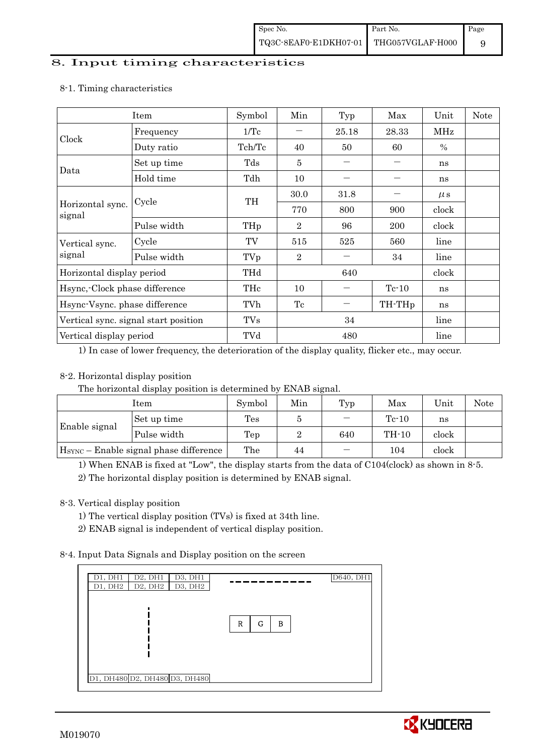#### 8. Input timing characteristics

|                                      | Item        | Symbol | Min            | Typ      | Max                | Unit          | <b>Note</b> |
|--------------------------------------|-------------|--------|----------------|----------|--------------------|---------------|-------------|
|                                      | Frequency   | 1/Tc   | 25.18          |          | 28.33              | MHz           |             |
| Clock                                | Duty ratio  | Tch/Tc | 40             | 50       | 60                 | $\frac{0}{0}$ |             |
| Data                                 | Set up time | Tds    | 5              |          |                    | ns            |             |
|                                      | Hold time   | Tdh    | 10             |          |                    | ns            |             |
|                                      | Cycle       | TH     | 30.0           | $31.8\,$ |                    | $\mu$ s       |             |
| Horizontal sync.<br>signal           |             |        | 770            | 800      | 900                | clock         |             |
|                                      | Pulse width | THp    | $\overline{2}$ | 96       | 200                | clock         |             |
| Vertical sync.                       | Cycle       | TV     | 515            | 525      | 560                | line          |             |
| signal                               | Pulse width | TVp    | $\overline{2}$ |          | 34                 | line          |             |
| Horizontal display period            |             | THd    | 640            |          |                    | clock         |             |
| Hsync, Clock phase difference        |             | THc    | 10             |          | $Te-10$            | ns            |             |
| Hsync-Vsync. phase difference        |             | TVh    | Tc             |          | TH-TH <sub>p</sub> | ns            |             |
| Vertical sync. signal start position |             | TVs    | 34             |          |                    | line          |             |
| Vertical display period              |             | TVd    | 480            |          |                    | line          |             |

#### 8-1. Timing characteristics

1) In case of lower frequency, the deterioration of the display quality, flicker etc., may occur.

## 8-2. Horizontal display position

The horizontal display position is determined by ENAB signal.

| Item                                               |             | Symbol | Min | Typ | Max     | Unit  | Note |
|----------------------------------------------------|-------------|--------|-----|-----|---------|-------|------|
| Enable signal                                      | Set up time | Tes    |     |     | $Tc-10$ | ns    |      |
|                                                    | Pulse width | Tep    |     | 640 | TH-10   | clock |      |
| H <sub>SYNC</sub> – Enable signal phase difference |             | The    | 44  |     | 104     | clock |      |

1) When ENAB is fixed at "Low", the display starts from the data of C104(clock) as shown in 8-5.

2) The horizontal display position is determined by ENAB signal.

## 8-3. Vertical display position

- 1) The vertical display position (TVs) is fixed at 34th line.
- 2) ENAB signal is independent of vertical display position.

## 8-4. Input Data Signals and Display position on the screen

| D2, DH1<br>D3, DH1<br>D1, DH1<br>D2, DH2<br>D3, DH2<br>D1, DH2 |             | D640, DH1 |
|----------------------------------------------------------------|-------------|-----------|
|                                                                | R<br>G<br>в |           |
|                                                                |             |           |
| D1, DH480 D2, DH480 D3, DH480                                  |             |           |

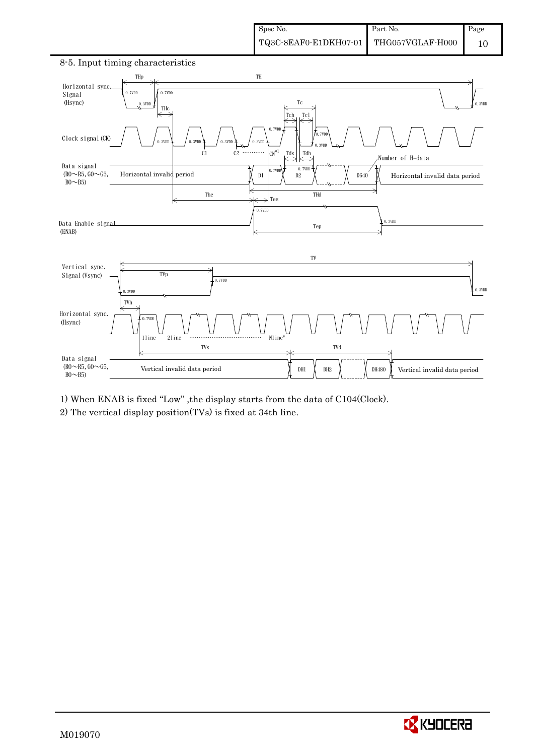

8-5. Input timing characteristics

1) When ENAB is fixed "Low" ,the display starts from the data of C104(Clock).

2) The vertical display position(TVs) is fixed at 34th line.

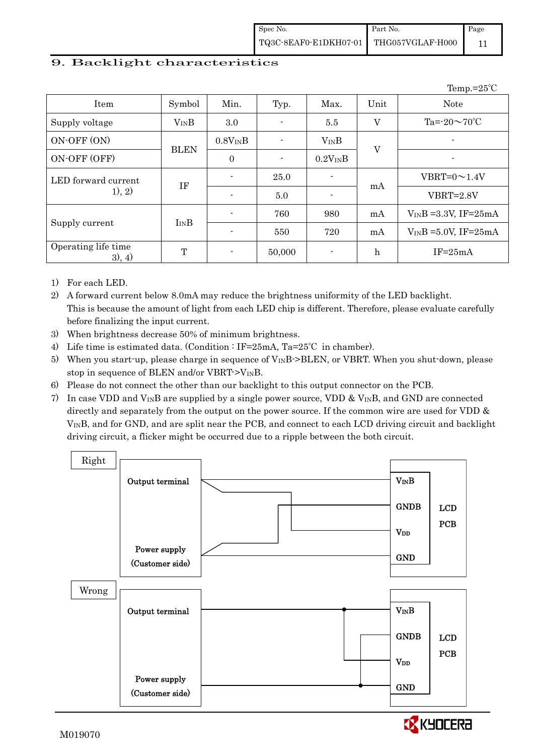$T_{\text{ann}}=25^\circ C$ 

## 9. Backlight characteristics

|                               |              |              |        |              |                  | $I$ cilip. $\sim$          |
|-------------------------------|--------------|--------------|--------|--------------|------------------|----------------------------|
| Item                          | Symbol       | Min.         | Typ.   | Max.         | Unit             | <b>Note</b>                |
| Supply voltage                | $V_{IN}B$    | $3.0\,$      |        | 5.5          | V                | Ta= $-20 \sim 70$ °C       |
| ON-OFF (ON)                   | $0.8V_{IN}B$ |              |        | $V_{IN}B$    | $\overline{V}$   |                            |
| ON-OFF (OFF)                  | <b>BLEN</b>  | $\mathbf{0}$ |        | $0.2V_{IN}B$ |                  |                            |
| LED forward current           |              |              | 25.0   |              | mA               | $VBRT=0 \sim 1.4V$         |
| 1), 2)                        | IF           |              | 5.0    |              |                  | $VBRT = 2.8V$              |
|                               |              |              | 760    | 980          | mA               | $V_{IN}B = 3.3V$ , IF=25mA |
| Supply current                | $I_{IN}B$    |              | 550    | 720          | mA               | $V_{IN}B = 5.0V$ , IF=25mA |
| Operating life time<br>3), 4) | $\mathbf T$  |              | 50,000 |              | $\boldsymbol{h}$ | $IF = 25mA$                |

1) For each LED.

2) A forward current below 8.0mA may reduce the brightness uniformity of the LED backlight. This is because the amount of light from each LED chip is different. Therefore, please evaluate carefully before finalizing the input current.

- 3) When brightness decrease 50% of minimum brightness.
- 4) Life time is estimated data. (Condition : IF=25mA, Ta=25°C in chamber).
- 5) When you start-up, please charge in sequence of  $V_{\text{IN}}B$ ->BLEN, or VBRT. When you shut-down, please stop in sequence of BLEN and/or VBRT- $>V_{IN}B$ .
- 6) Please do not connect the other than our backlight to this output connector on the PCB.
- 7) In case VDD and  $V_{\text{IN}}$ B are supplied by a single power source, VDD &  $V_{\text{IN}}$ B, and GND are connected directly and separately from the output on the power source. If the common wire are used for VDD & VINB, and for GND, and are split near the PCB, and connect to each LCD driving circuit and backlight driving circuit, a flicker might be occurred due to a ripple between the both circuit.



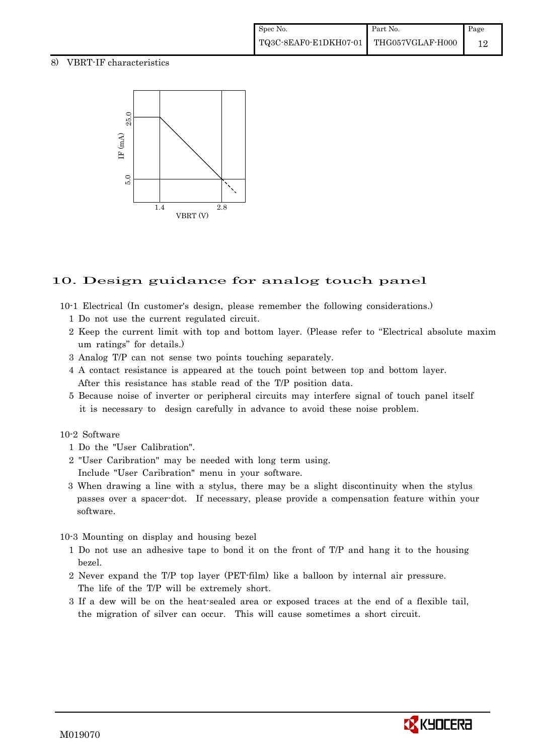## 8) VBRT-IF characteristics



# 10. Design guidance for analog touch panel

- 10-1 Electrical (In customer's design, please remember the following considerations.)
	- 1 Do not use the current regulated circuit.
	- 2 Keep the current limit with top and bottom layer. (Please refer to "Electrical absolute maxim um ratings" for details.)
	- 3 Analog T/P can not sense two points touching separately.
	- 4 A contact resistance is appeared at the touch point between top and bottom layer. After this resistance has stable read of the T/P position data.
	- 5 Because noise of inverter or peripheral circuits may interfere signal of touch panel itself it is necessary to design carefully in advance to avoid these noise problem.

#### 10-2 Software

- 1 Do the "User Calibration".
- 2 "User Caribration" may be needed with long term using. Include "User Caribration" menu in your software.
- 3 When drawing a line with a stylus, there may be a slight discontinuity when the stylus passes over a spacer-dot. If necessary, please provide a compensation feature within your software.

#### 10-3 Mounting on display and housing bezel

- 1 Do not use an adhesive tape to bond it on the front of T/P and hang it to the housing bezel.
- 2 Never expand the T/P top layer (PET-film) like a balloon by internal air pressure. The life of the T/P will be extremely short.
- 3 If a dew will be on the heat-sealed area or exposed traces at the end of a flexible tail, the migration of silver can occur. This will cause sometimes a short circuit.

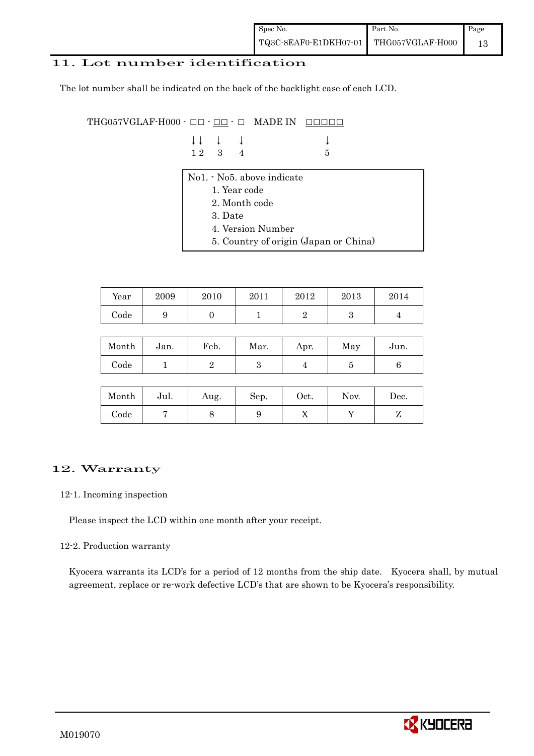## 11. Lot number identification

The lot number shall be indicated on the back of the backlight case of each LCD.

THG057VGLAF-H000 -  $\Box$  $\Box$   $\Box$   $\Box$   $\Box$  MADE IN  $\Box$  $\Box$  $\Box$  $\Box$  $\Box$ 

| $\downarrow \downarrow \quad \downarrow \quad \downarrow$ |  |      |
|-----------------------------------------------------------|--|------|
| $12 \quad 3 \quad 4$                                      |  | $-5$ |

- No1. No5. above indicate
	- 1. Year code
	- 2. Month code
	- 3. Date
	- 4. Version Number
	- 5. Country of origin (Japan or China)

| Year | 2009 | 2010 | 2011 | 2012 | 2013 | 2014 |
|------|------|------|------|------|------|------|
| Code | ັ    |      |      |      |      |      |

| Month | Jan. | Feb. | Mar. | Apr. | May | Jun. |
|-------|------|------|------|------|-----|------|
| Code  |      |      | ౿    |      |     |      |

| Month      | Jul. | Aug. | Sep. | Oct. | Nov. | Dec. |
|------------|------|------|------|------|------|------|
| $\rm Code$ |      |      | υ    | 77   |      |      |

## 12. Warranty

#### 12-1. Incoming inspection

Please inspect the LCD within one month after your receipt.

#### 12-2. Production warranty

 Kyocera warrants its LCD's for a period of 12 months from the ship date. Kyocera shall, by mutual agreement, replace or re-work defective LCD's that are shown to be Kyocera's responsibility.

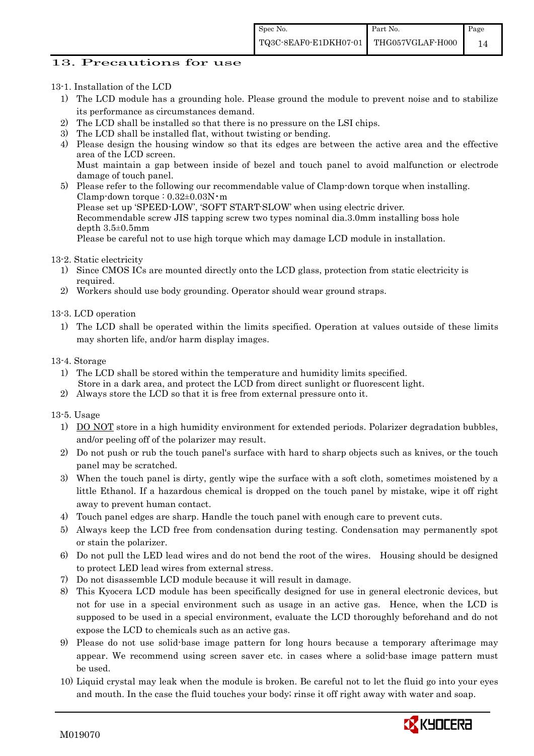## 13. Precautions for use

13-1. Installation of the LCD

- 1) The LCD module has a grounding hole. Please ground the module to prevent noise and to stabilize its performance as circumstances demand.
- 2) The LCD shall be installed so that there is no pressure on the LSI chips.
- 3) The LCD shall be installed flat, without twisting or bending.
- 4) Please design the housing window so that its edges are between the active area and the effective area of the LCD screen.
	- Must maintain a gap between inside of bezel and touch panel to avoid malfunction or electrode damage of touch panel.
- 5) Please refer to the following our recommendable value of Clamp-down torque when installing. Clamp-down torque :  $0.32 \pm 0.03$ N·m Please set up 'SPEED-LOW', 'SOFT START-SLOW' when using electric driver. Recommendable screw JIS tapping screw two types nominal dia.3.0mm installing boss hole depth 3.5±0.5mm Please be careful not to use high torque which may damage LCD module in installation.
- 13-2. Static electricity
	- 1) Since CMOS ICs are mounted directly onto the LCD glass, protection from static electricity is required.
	- 2) Workers should use body grounding. Operator should wear ground straps.

13-3. LCD operation

- 1) The LCD shall be operated within the limits specified. Operation at values outside of these limits may shorten life, and/or harm display images.
- 13-4. Storage
	- 1) The LCD shall be stored within the temperature and humidity limits specified. Store in a dark area, and protect the LCD from direct sunlight or fluorescent light.
	- 2) Always store the LCD so that it is free from external pressure onto it.

13-5. Usage

- 1) DO NOT store in a high humidity environment for extended periods. Polarizer degradation bubbles, and/or peeling off of the polarizer may result.
- 2) Do not push or rub the touch panel's surface with hard to sharp objects such as knives, or the touch panel may be scratched.
- 3) When the touch panel is dirty, gently wipe the surface with a soft cloth, sometimes moistened by a little Ethanol. If a hazardous chemical is dropped on the touch panel by mistake, wipe it off right away to prevent human contact.
- 4) Touch panel edges are sharp. Handle the touch panel with enough care to prevent cuts.
- 5) Always keep the LCD free from condensation during testing. Condensation may permanently spot or stain the polarizer.
- 6) Do not pull the LED lead wires and do not bend the root of the wires. Housing should be designed to protect LED lead wires from external stress.
- 7) Do not disassemble LCD module because it will result in damage.
- 8) This Kyocera LCD module has been specifically designed for use in general electronic devices, but not for use in a special environment such as usage in an active gas. Hence, when the LCD is supposed to be used in a special environment, evaluate the LCD thoroughly beforehand and do not expose the LCD to chemicals such as an active gas.
- 9) Please do not use solid-base image pattern for long hours because a temporary afterimage may appear. We recommend using screen saver etc. in cases where a solid-base image pattern must be used.
- 10) Liquid crystal may leak when the module is broken. Be careful not to let the fluid go into your eyes and mouth. In the case the fluid touches your body; rinse it off right away with water and soap.

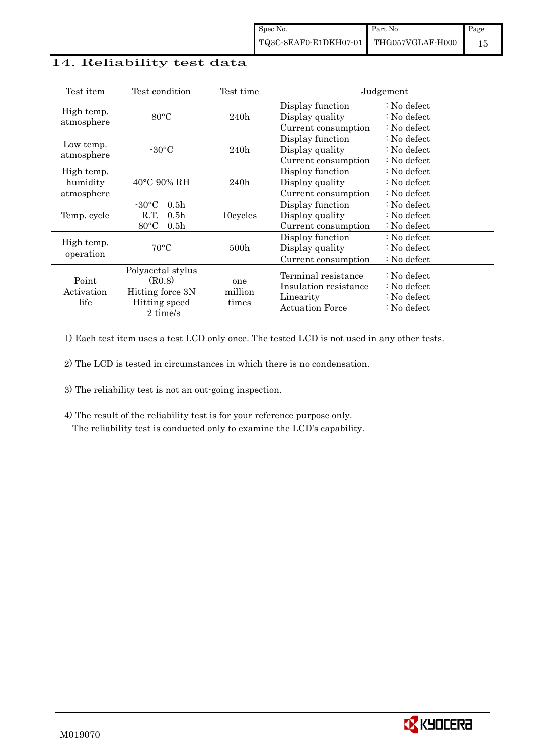## 14. Reliability test data

| Test item                            | Test condition                                                                                       | Test time               |                                                                                     | Judgement                                                                  |
|--------------------------------------|------------------------------------------------------------------------------------------------------|-------------------------|-------------------------------------------------------------------------------------|----------------------------------------------------------------------------|
| High temp.<br>atmosphere             | $80^{\circ}$ C                                                                                       | 240h                    | Display function<br>Display quality<br>Current consumption                          | $\therefore$ No defect<br>: No defect<br>: No defect                       |
| Low temp.<br>atmosphere              | $-30\degree C$                                                                                       | 240h                    | Display function<br>Display quality<br>Current consumption                          | $\therefore$ No defect<br>$\therefore$ No defect<br>$\therefore$ No defect |
| High temp.<br>humidity<br>atmosphere | $40^{\circ}$ C 90% RH                                                                                | 240h                    | Display function<br>Display quality<br>Current consumption                          | $\therefore$ No defect<br>$\therefore$ No defect<br>$\therefore$ No defect |
| Temp. cycle                          | $-30\degree C$<br>0.5 <sub>h</sub><br>R.T.<br>0.5 <sub>h</sub><br>$80^{\circ}$ C<br>0.5 <sub>h</sub> | 10cycles                | Display function<br>Display quality<br>Current consumption                          | $\therefore$ No defect<br>$\therefore$ No defect<br>$\therefore$ No defect |
| High temp.<br>operation              | $70^{\circ}$ C                                                                                       | 500 <sub>h</sub>        | Display function<br>Display quality<br>Current consumption                          | $\therefore$ No defect<br>$\therefore$ No defect<br>: No defect            |
| Point<br>Activation<br>life          | Polyacetal stylus<br>(R0.8)<br>Hitting force 3N<br>Hitting speed<br>2 time/s                         | one<br>million<br>times | Terminal resistance<br>Insulation resistance<br>Linearity<br><b>Actuation Force</b> | : No defect<br>: No defect<br>: No defect<br>$\therefore$ No defect        |

1) Each test item uses a test LCD only once. The tested LCD is not used in any other tests.

2) The LCD is tested in circumstances in which there is no condensation.

- 3) The reliability test is not an out-going inspection.
- 4) The result of the reliability test is for your reference purpose only. The reliability test is conducted only to examine the LCD's capability.

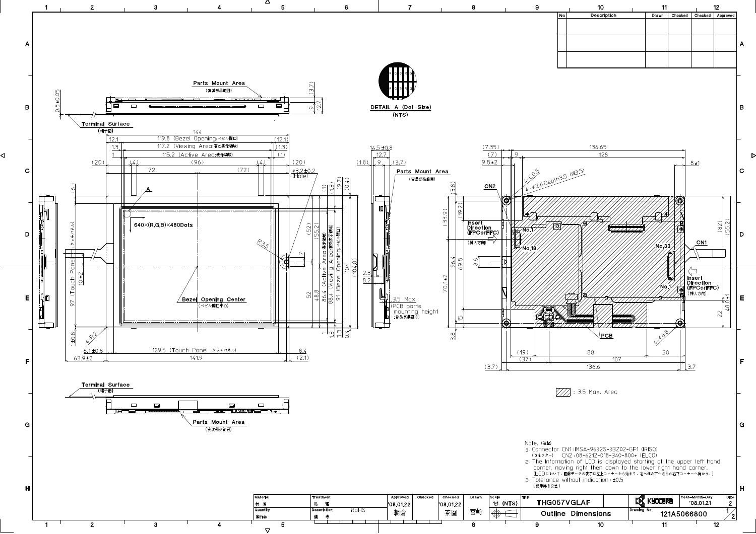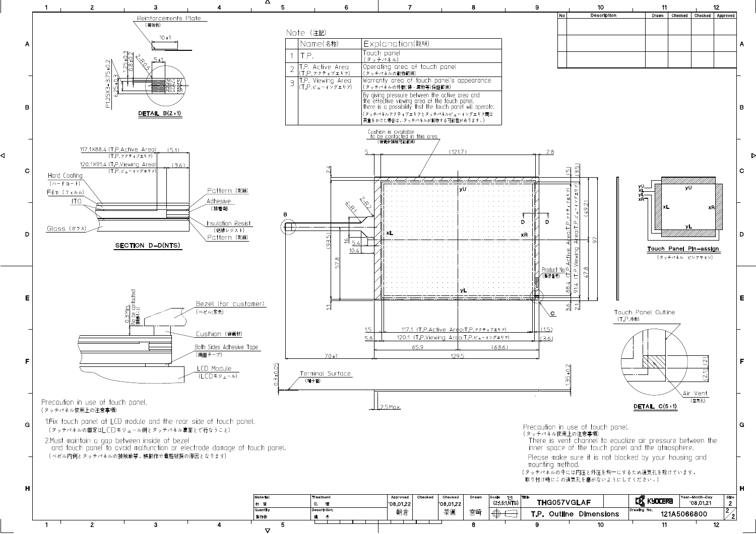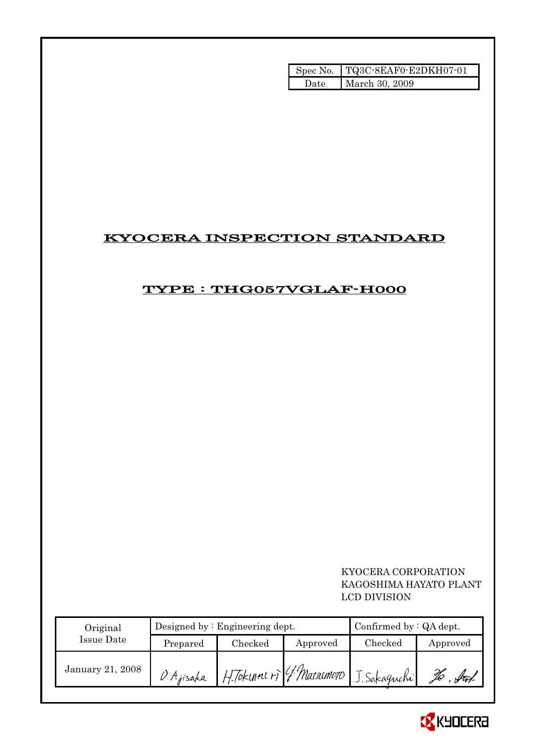|        | Spec No. TQ3C-8EAF0-E2DKH07-01 |
|--------|--------------------------------|
| - Date | March 30, 2009                 |

# KYOCERA INSPECTION STANDARD

# TYPE : THG057VGLAF-H000

 KYOCERA CORPORATION KAGOSHIMA HAYATO PLANT LCD DIVISION

| Original         | Designed by $:$ Engineering dept. |         |          | Confirmed by $:QA$ dept.                |          |
|------------------|-----------------------------------|---------|----------|-----------------------------------------|----------|
| Issue Date       | Prepared                          | Checked | Approved | Checked                                 | Approved |
| January 21, 2008 | O. Ajisaka                        |         |          | H. Tokunni ri G. Matrimoto J. Sakaguchi | ful      |

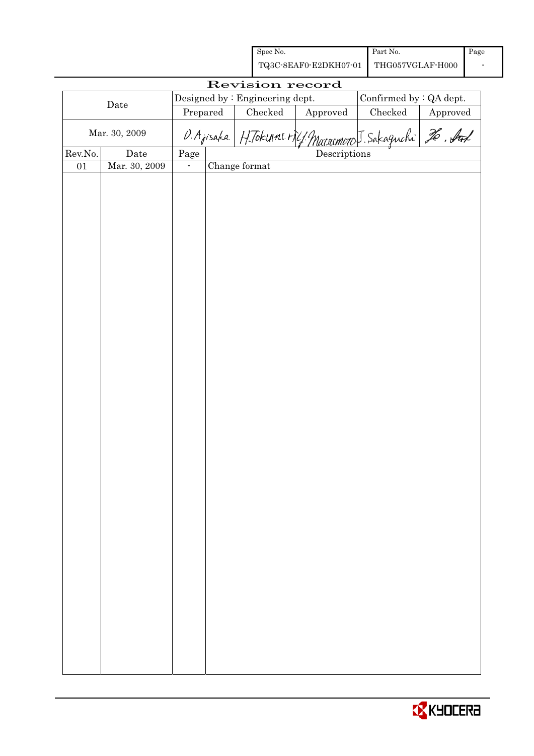| Spec No.                               | Part No. | Page |
|----------------------------------------|----------|------|
| TQ3C-8EAF0-E2DKH07-01 THG057VGLAF-H000 |          |      |

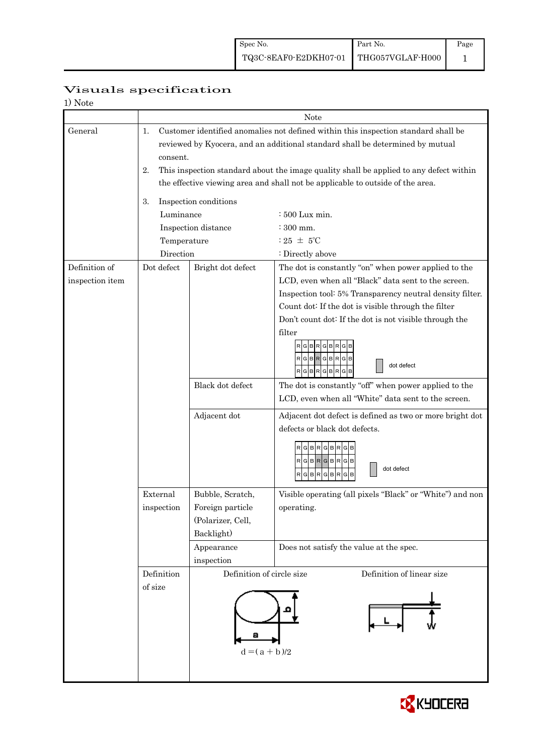|                          | Visuals specification |
|--------------------------|-----------------------|
| $1)$ $N_{\alpha+\alpha}$ |                       |

| 1) Note         |                |                                                                                                                                                                          |                                                                                                                                                                     |  |  |  |  |
|-----------------|----------------|--------------------------------------------------------------------------------------------------------------------------------------------------------------------------|---------------------------------------------------------------------------------------------------------------------------------------------------------------------|--|--|--|--|
|                 |                |                                                                                                                                                                          | Note                                                                                                                                                                |  |  |  |  |
| General         | 1.<br>consent. |                                                                                                                                                                          | Customer identified anomalies not defined within this inspection standard shall be<br>reviewed by Kyocera, and an additional standard shall be determined by mutual |  |  |  |  |
|                 | 2.             | This inspection standard about the image quality shall be applied to any defect within<br>the effective viewing area and shall not be applicable to outside of the area. |                                                                                                                                                                     |  |  |  |  |
|                 |                |                                                                                                                                                                          |                                                                                                                                                                     |  |  |  |  |
|                 | 3.             | Inspection conditions                                                                                                                                                    |                                                                                                                                                                     |  |  |  |  |
|                 | Luminance      |                                                                                                                                                                          | : 500 Lux min.                                                                                                                                                      |  |  |  |  |
|                 |                | Inspection distance                                                                                                                                                      | $:300$ mm.                                                                                                                                                          |  |  |  |  |
|                 | Temperature    |                                                                                                                                                                          | : 25 $\pm$ 5°C                                                                                                                                                      |  |  |  |  |
|                 | Direction      |                                                                                                                                                                          | : Directly above                                                                                                                                                    |  |  |  |  |
| Definition of   | Dot defect     | Bright dot defect                                                                                                                                                        | The dot is constantly "on" when power applied to the                                                                                                                |  |  |  |  |
| inspection item |                |                                                                                                                                                                          | LCD, even when all "Black" data sent to the screen.                                                                                                                 |  |  |  |  |
|                 |                |                                                                                                                                                                          | Inspection tool: 5% Transparency neutral density filter.                                                                                                            |  |  |  |  |
|                 |                |                                                                                                                                                                          | Count dot: If the dot is visible through the filter                                                                                                                 |  |  |  |  |
|                 |                |                                                                                                                                                                          | Don't count dot: If the dot is not visible through the                                                                                                              |  |  |  |  |
|                 |                |                                                                                                                                                                          | filter<br><b>GBR</b><br>GBRG<br>RGBRGBRGB<br>dot defect<br>RGBRGBRGB                                                                                                |  |  |  |  |
|                 |                | Black dot defect                                                                                                                                                         | The dot is constantly "off" when power applied to the                                                                                                               |  |  |  |  |
|                 |                |                                                                                                                                                                          | LCD, even when all "White" data sent to the screen.                                                                                                                 |  |  |  |  |
|                 |                | Adjacent dot                                                                                                                                                             | Adjacent dot defect is defined as two or more bright dot<br>defects or black dot defects.                                                                           |  |  |  |  |
|                 |                |                                                                                                                                                                          | RGBRGBRGB<br>$RG$ B $RG$ B $RG$ B<br>dot defect<br>RGBRGBRGB                                                                                                        |  |  |  |  |
|                 | External       | Bubble, Scratch,                                                                                                                                                         | Visible operating (all pixels "Black" or "White") and non                                                                                                           |  |  |  |  |
|                 | inspection     | Foreign particle                                                                                                                                                         | operating.                                                                                                                                                          |  |  |  |  |
|                 |                | (Polarizer, Cell,                                                                                                                                                        |                                                                                                                                                                     |  |  |  |  |
|                 |                | Backlight)                                                                                                                                                               |                                                                                                                                                                     |  |  |  |  |
|                 |                | Appearance                                                                                                                                                               | Does not satisfy the value at the spec.                                                                                                                             |  |  |  |  |
|                 |                | inspection                                                                                                                                                               |                                                                                                                                                                     |  |  |  |  |
|                 | Definition     | Definition of circle size                                                                                                                                                | Definition of linear size                                                                                                                                           |  |  |  |  |
|                 | of size        |                                                                                                                                                                          |                                                                                                                                                                     |  |  |  |  |
|                 |                | $d = (a + b)/2$                                                                                                                                                          |                                                                                                                                                                     |  |  |  |  |

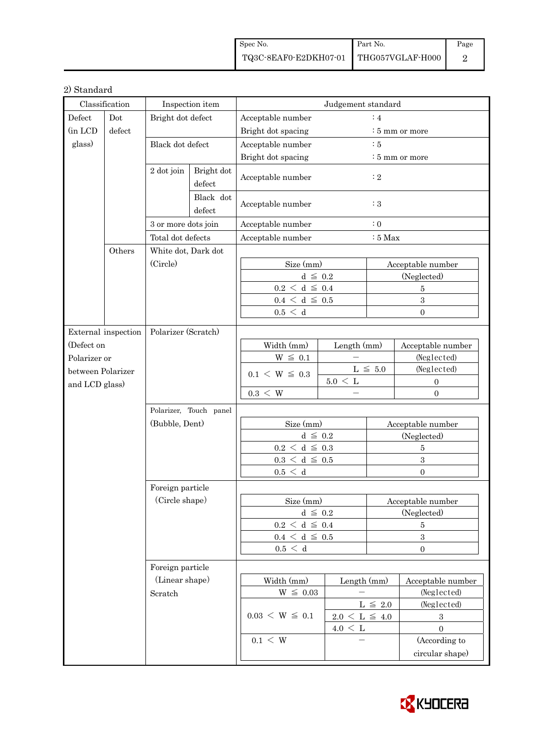| Spec No.                               | Part No. | Page |
|----------------------------------------|----------|------|
| TQ3C-8EAF0-E2DKH07-01 THG057VGLAF-H000 |          |      |

## 2) Standard

| Classification      |        | Inspection item                    |                      | Judgement standard               |                     |                                  |                                  |  |
|---------------------|--------|------------------------------------|----------------------|----------------------------------|---------------------|----------------------------------|----------------------------------|--|
| Defect<br>Dot       |        | Bright dot defect                  |                      | $\colon$ 4<br>Acceptable number  |                     |                                  |                                  |  |
| (in LCD             | defect |                                    |                      | Bright dot spacing               |                     | : 5 mm or more                   |                                  |  |
| glass)<br>Others    |        | Black dot defect                   |                      | Acceptable number                |                     | $\div$ 5                         |                                  |  |
|                     |        |                                    |                      | Bright dot spacing               |                     | $\frac{1}{2}$ 5 mm or more       |                                  |  |
|                     |        | 2 dot join                         | Bright dot<br>defect | Acceptable number                |                     | $\colon 2$                       |                                  |  |
|                     |        |                                    | Black dot<br>defect  | Acceptable number<br>$\colon 3$  |                     |                                  |                                  |  |
|                     |        | 3 or more dots join                |                      | Acceptable number                |                     | $\colon 0$                       |                                  |  |
|                     |        | Total dot defects                  |                      | Acceptable number<br>$:5$ Max    |                     |                                  |                                  |  |
|                     |        | White dot, Dark dot                |                      |                                  |                     |                                  |                                  |  |
|                     |        | (Circle)                           |                      | Size (mm)                        |                     | Acceptable number                |                                  |  |
|                     |        |                                    |                      | $d \leq 0.2$                     |                     | (Neglected)                      |                                  |  |
|                     |        |                                    |                      | $0.2 \le d \le 0.4$              |                     |                                  | $\overline{5}$                   |  |
|                     |        |                                    |                      | $0.4~\leq~\mathrm{d}~\leq~0.5$   |                     |                                  | $\sqrt{3}$                       |  |
|                     |        |                                    |                      | 0.5 < d                          |                     |                                  | $\Omega$                         |  |
|                     |        |                                    |                      |                                  |                     |                                  |                                  |  |
| External inspection |        | Polarizer (Scratch)                |                      |                                  |                     |                                  |                                  |  |
| (Defect on          |        |                                    |                      | Width (mm)<br>$W~\leq~0.1$       | Length (mm)         |                                  | Acceptable number<br>(Neglected) |  |
| Polarizer or        |        |                                    |                      |                                  | L $\leq 5.0$        |                                  | (Neglected)                      |  |
| between Polarizer   |        |                                    |                      | $0.1 \le W \le 0.3$              | $5.0 \leq L$        |                                  | $\mathbf{0}$                     |  |
| and LCD glass)      |        |                                    |                      | $0.3 \leq W$                     |                     |                                  | $\Omega$                         |  |
|                     |        | Polarizer, Touch panel             |                      |                                  |                     |                                  |                                  |  |
|                     |        |                                    |                      |                                  |                     |                                  |                                  |  |
|                     |        | (Bubble, Dent)                     |                      | Size (mm)<br>$d \leq 0.2$        |                     | Acceptable number<br>(Neglected) |                                  |  |
|                     |        | Foreign particle                   |                      | $0.2\,<\,\mathrm{d}\,\leq\,0.3$  |                     | $\bf 5$                          |                                  |  |
|                     |        |                                    |                      | $0.3\,<\,\mathrm{d}\,\leq\,0.5$  |                     | $\sqrt{3}$                       |                                  |  |
|                     |        |                                    |                      | 0.5 < d                          |                     |                                  | $\overline{0}$                   |  |
|                     |        |                                    |                      |                                  |                     |                                  |                                  |  |
|                     |        | (Circle shape)<br>Foreign particle |                      | Size (mm)                        |                     | Acceptable number                |                                  |  |
|                     |        |                                    |                      | $d~\leq~0.2$                     |                     | (Neglected)                      |                                  |  |
|                     |        |                                    |                      | $0.2\,<\,\mathrm{d}\,\leq\,0.4$  |                     | 5                                |                                  |  |
|                     |        |                                    |                      | $0.4\,<\,\mathrm{d}\,\leq\,$ 0.5 |                     | $\sqrt{3}$                       |                                  |  |
|                     |        |                                    |                      | 0.5 < d                          |                     |                                  | $\boldsymbol{0}$                 |  |
|                     |        |                                    |                      |                                  |                     |                                  |                                  |  |
|                     |        | (Linear shape)<br>Scratch          |                      | Width (mm)<br>Length (mm)        |                     | Acceptable number                |                                  |  |
|                     |        |                                    |                      | $W~\leq~0.03$                    |                     |                                  | (Neglected)                      |  |
|                     |        |                                    |                      | $0.03 \le W \le 0.1$             | L $\leq$ 2.0        |                                  | (Neglected)                      |  |
|                     |        |                                    |                      |                                  | $2.0 \le L \le 4.0$ |                                  | $\boldsymbol{3}$                 |  |
|                     |        |                                    |                      |                                  | $4.0 \leq L$        |                                  | $\overline{0}$                   |  |
|                     |        |                                    |                      | $0.1 \leq W$                     |                     |                                  | (According to                    |  |
|                     |        |                                    |                      |                                  |                     |                                  | circular shape)                  |  |